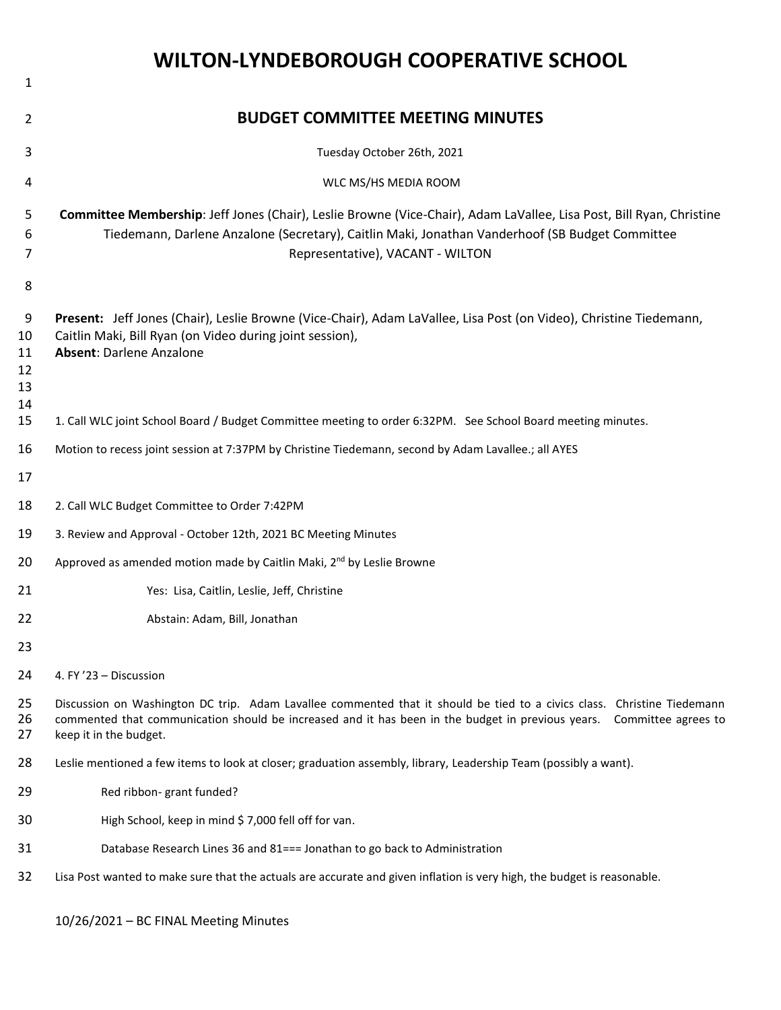|                                      | <b>WILTON-LYNDEBOROUGH COOPERATIVE SCHOOL</b>                                                                                                                                                                                                                              |
|--------------------------------------|----------------------------------------------------------------------------------------------------------------------------------------------------------------------------------------------------------------------------------------------------------------------------|
| 1                                    |                                                                                                                                                                                                                                                                            |
| 2                                    | <b>BUDGET COMMITTEE MEETING MINUTES</b>                                                                                                                                                                                                                                    |
| 3                                    | Tuesday October 26th, 2021                                                                                                                                                                                                                                                 |
| 4                                    | WLC MS/HS MEDIA ROOM                                                                                                                                                                                                                                                       |
| 5<br>6<br>7                          | Committee Membership: Jeff Jones (Chair), Leslie Browne (Vice-Chair), Adam LaVallee, Lisa Post, Bill Ryan, Christine<br>Tiedemann, Darlene Anzalone (Secretary), Caitlin Maki, Jonathan Vanderhoof (SB Budget Committee<br>Representative), VACANT - WILTON                |
| 8<br>9<br>10<br>11<br>12<br>13<br>14 | Present: Jeff Jones (Chair), Leslie Browne (Vice-Chair), Adam LaVallee, Lisa Post (on Video), Christine Tiedemann,<br>Caitlin Maki, Bill Ryan (on Video during joint session),<br><b>Absent: Darlene Anzalone</b>                                                          |
| 15                                   | 1. Call WLC joint School Board / Budget Committee meeting to order 6:32PM. See School Board meeting minutes.                                                                                                                                                               |
| 16<br>17                             | Motion to recess joint session at 7:37PM by Christine Tiedemann, second by Adam Lavallee.; all AYES                                                                                                                                                                        |
| 18                                   | 2. Call WLC Budget Committee to Order 7:42PM                                                                                                                                                                                                                               |
| 19                                   | 3. Review and Approval - October 12th, 2021 BC Meeting Minutes                                                                                                                                                                                                             |
| 20                                   | Approved as amended motion made by Caitlin Maki, 2 <sup>nd</sup> by Leslie Browne                                                                                                                                                                                          |
| 21                                   | Yes: Lisa, Caitlin, Leslie, Jeff, Christine                                                                                                                                                                                                                                |
| 22                                   | Abstain: Adam, Bill, Jonathan                                                                                                                                                                                                                                              |
| 23                                   |                                                                                                                                                                                                                                                                            |
| 24                                   | 4. FY'23 - Discussion                                                                                                                                                                                                                                                      |
| 25<br>26<br>27                       | Discussion on Washington DC trip. Adam Lavallee commented that it should be tied to a civics class. Christine Tiedemann<br>commented that communication should be increased and it has been in the budget in previous years. Committee agrees to<br>keep it in the budget. |
| 28                                   | Leslie mentioned a few items to look at closer; graduation assembly, library, Leadership Team (possibly a want).                                                                                                                                                           |
| 29                                   | Red ribbon- grant funded?                                                                                                                                                                                                                                                  |
| 30                                   | High School, keep in mind \$7,000 fell off for van.                                                                                                                                                                                                                        |
| 31                                   | Database Research Lines 36 and 81=== Jonathan to go back to Administration                                                                                                                                                                                                 |
| 32                                   | Lisa Post wanted to make sure that the actuals are accurate and given inflation is very high, the budget is reasonable.                                                                                                                                                    |

10/26/2021 – BC FINAL Meeting Minutes